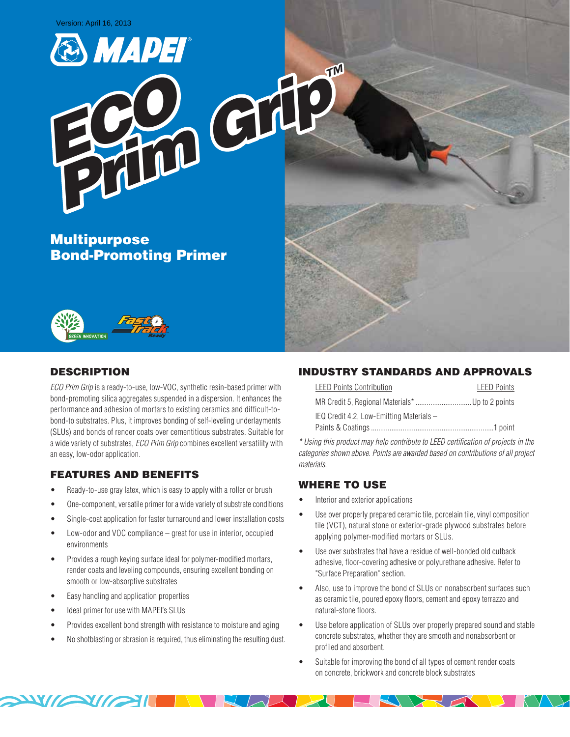

*ECO Prim Grip™*

Multipurpose Bond-Promoting Primer



## DESCRIPTION

*ECO Prim Grip* is a ready-to-use, low-VOC, synthetic resin-based primer with bond-promoting silica aggregates suspended in a dispersion. It enhances the performance and adhesion of mortars to existing ceramics and difficult-tobond-to substrates. Plus, it improves bonding of self-leveling underlayments (SLUs) and bonds of render coats over cementitious substrates. Suitable for a wide variety of substrates, *ECO Prim Grip* combines excellent versatility with an easy, low-odor application.

### FEATURES AND BENEFITS

- Ready-to-use gray latex, which is easy to apply with a roller or brush
- One-component, versatile primer for a wide variety of substrate conditions
- Single-coat application for faster turnaround and lower installation costs
- Low-odor and VOC compliance  $-$  great for use in interior, occupied environments
- Provides a rough keying surface ideal for polymer-modified mortars, render coats and leveling compounds, ensuring excellent bonding on smooth or low-absorptive substrates
- Easy handling and application properties
- Ideal primer for use with MAPEI's SLUs

**AVIEW** 

- Provides excellent bond strength with resistance to moisture and aging
- No shotblasting or abrasion is required, thus eliminating the resulting dust.

### INDUSTRY STANDARDS AND APPROVALS

| <b>LEED Points Contribution</b>          | <b>LEED Points</b> |
|------------------------------------------|--------------------|
|                                          |                    |
| IEQ Credit 4.2, Low-Emitting Materials - |                    |
|                                          |                    |

*\* Using this product may help contribute to LEED certification of projects in the categories shown above. Points are awarded based on contributions of all project materials.* 

### WHERE TO USE

- Interior and exterior applications
- Use over properly prepared ceramic tile, porcelain tile, vinyl composition tile (VCT), natural stone or exterior-grade plywood substrates before applying polymer-modified mortars or SLUs.
- Use over substrates that have a residue of well-bonded old cutback adhesive, floor-covering adhesive or polyurethane adhesive. Refer to "Surface Preparation" section.
- Also, use to improve the bond of SLUs on nonabsorbent surfaces such as ceramic tile, poured epoxy floors, cement and epoxy terrazzo and natural-stone floors.
- Use before application of SLUs over properly prepared sound and stable concrete substrates, whether they are smooth and nonabsorbent or profiled and absorbent.
- Suitable for improving the bond of all types of cement render coats on concrete, brickwork and concrete block substrates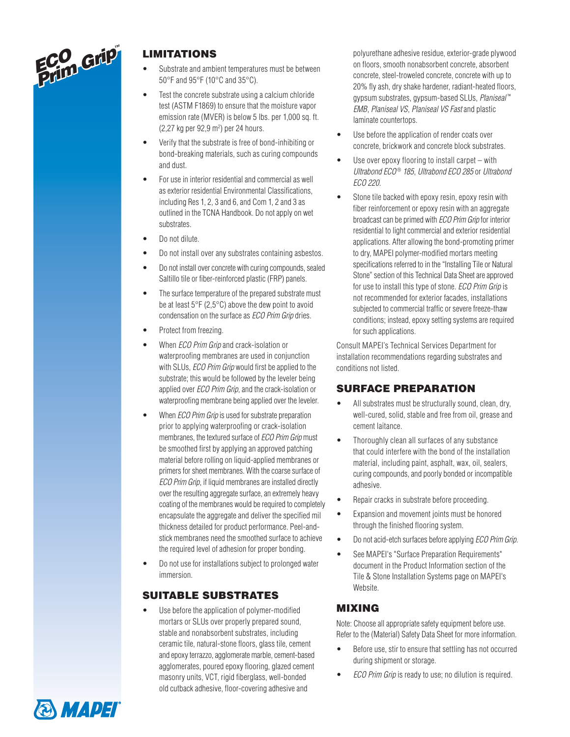

# LIMITATIONS

- Substrate and ambient temperatures must be between 50°F and 95°F (10°C and 35°C).
- Test the concrete substrate using a calcium chloride test (ASTM F1869) to ensure that the moisture vapor emission rate (MVER) is below 5 lbs. per 1,000 sq. ft. (2,27 kg per 92,9 m²) per 24 hours.
- Verify that the substrate is free of bond-inhibiting or bond-breaking materials, such as curing compounds and dust.
- For use in interior residential and commercial as well as exterior residential Environmental Classifications, including Res 1, 2, 3 and 6, and Com 1, 2 and 3 as outlined in the TCNA Handbook. Do not apply on wet substrates.
- Do not dilute.
- Do not install over any substrates containing asbestos.
- Do not install over concrete with curing compounds, sealed Saltillo tile or fiber-reinforced plastic (FRP) panels.
- The surface temperature of the prepared substrate must be at least 5°F (2,5°C) above the dew point to avoid condensation on the surface as *ECO Prim Grip* dries.
- Protect from freezing.
- **When** *ECO Prim Grip* and crack-isolation or waterproofing membranes are used in conjunction with SLUs, *ECO Prim Grip* would first be applied to the substrate; this would be followed by the leveler being applied over *ECO Prim Grip*, and the crack-isolation or waterproofing membrane being applied over the leveler.
- When *ECO Prim Grip* is used for substrate preparation prior to applying waterproofing or crack-isolation membranes, the textured surface of *ECO Prim Grip* must be smoothed first by applying an approved patching material before rolling on liquid-applied membranes or primers for sheet membranes. With the coarse surface of *ECO Prim Grip*, if liquid membranes are installed directly over the resulting aggregate surface, an extremely heavy coating of the membranes would be required to completely encapsulate the aggregate and deliver the specified mil thickness detailed for product performance. Peel-andstick membranes need the smoothed surface to achieve the required level of adhesion for proper bonding.
- Do not use for installations subject to prolonged water immersion.

## SUITABLE SUBSTRATES

Use before the application of polymer-modified mortars or SLUs over properly prepared sound, stable and nonabsorbent substrates, including ceramic tile, natural-stone floors, glass tile, cement and epoxy terrazzo, agglomerate marble, cement-based agglomerates, poured epoxy flooring, glazed cement masonry units, VCT, rigid fiberglass, well-bonded old cutback adhesive, floor-covering adhesive and

polyurethane adhesive residue, exterior-grade plywood on floors, smooth nonabsorbent concrete, absorbent concrete, steel-troweled concrete, concrete with up to 20% fly ash, dry shake hardener, radiant-heated floors, gypsum substrates, gypsum-based SLUs, *Planiseal* ™ *EMB*, *Planiseal VS*, *Planiseal VS Fast* and plastic laminate countertops.

- Use before the application of render coats over concrete, brickwork and concrete block substrates.
- Use over epoxy flooring to install carpet  $-$  with *Ultrabond ECO* ® *185*, *Ultrabond ECO 285* or *Ultrabond ECO 220*.
- Stone tile backed with epoxy resin, epoxy resin with fiber reinforcement or epoxy resin with an aggregate broadcast can be primed with *ECO Prim Grip* for interior residential to light commercial and exterior residential applications. After allowing the bond-promoting primer to dry, MAPEI polymer-modified mortars meeting specifications referred to in the "Installing Tile or Natural Stone" section of this Technical Data Sheet are approved for use to install this type of stone. *ECO Prim Grip* is not recommended for exterior facades, installations subjected to commercial traffic or severe freeze-thaw conditions; instead, epoxy setting systems are required for such applications.

Consult MAPEI's Technical Services Department for installation recommendations regarding substrates and conditions not listed.

## SURFACE PREPARATION

- All substrates must be structurally sound, clean, dry, well-cured, solid, stable and free from oil, grease and cement laitance.
- • Thoroughly clean all surfaces of any substance that could interfere with the bond of the installation material, including paint, asphalt, wax, oil, sealers, curing compounds, and poorly bonded or incompatible adhesive.
- Repair cracks in substrate before proceeding.
- • Expansion and movement joints must be honored through the finished flooring system.
- Do not acid-etch surfaces before applying *ECO Prim Grip*.
- See MAPEI's "Surface Preparation Requirements" document in the Product Information section of the Tile & Stone Installation Systems page on MAPEI's Website.

### MIXING

Note: Choose all appropriate safety equipment before use. Refer to the (Material) Safety Data Sheet for more information.

- Before use, stir to ensure that settling has not occurred during shipment or storage.
- • *ECO Prim Grip* is ready to use; no dilution is required.

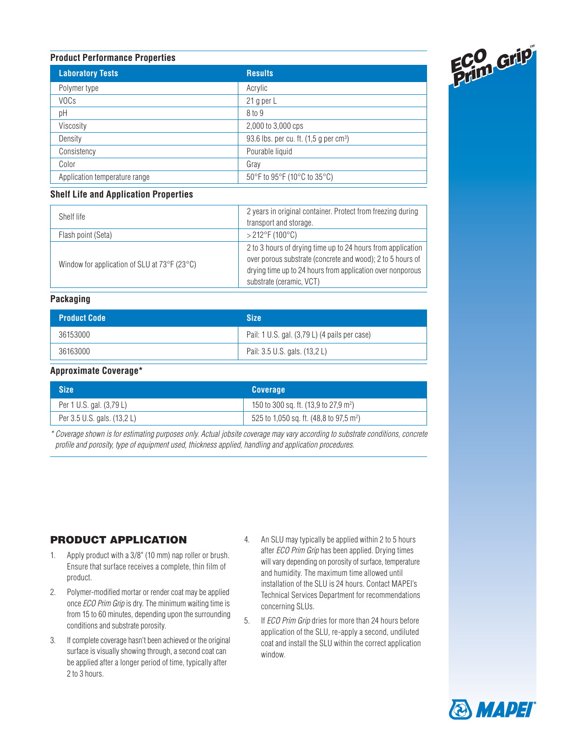#### **Product Performance Properties**

| <b>Laboratory Tests</b>       | <b>Results</b>                                       |
|-------------------------------|------------------------------------------------------|
| Polymer type                  | Acrylic                                              |
| <b>VOCs</b>                   | 21 g per L                                           |
| pH                            | 8 to 9                                               |
| Viscosity                     | 2,000 to 3,000 cps                                   |
| Density                       | 93.6 lbs. per cu. ft. $(1,5$ g per cm <sup>3</sup> ) |
| Consistency                   | Pourable liquid                                      |
| Color                         | Gray                                                 |
| Application temperature range | 50°F to 95°F (10°C to 35°C)                          |

#### **Shelf Life and Application Properties**

| Shelf life                                                  | 2 years in original container. Protect from freezing during<br>transport and storage.                                                                                                                               |
|-------------------------------------------------------------|---------------------------------------------------------------------------------------------------------------------------------------------------------------------------------------------------------------------|
| Flash point (Seta)                                          | $>$ 212°F (100°C)                                                                                                                                                                                                   |
| Window for application of SLU at $73^{\circ}F(23^{\circ}C)$ | 2 to 3 hours of drying time up to 24 hours from application<br>over porous substrate (concrete and wood); 2 to 5 hours of<br>drying time up to 24 hours from application over nonporous<br>substrate (ceramic, VCT) |

### **Packaging**

| <b>Product Code</b> | <b>Size</b>                                   |
|---------------------|-----------------------------------------------|
| 36153000            | Pail: 1 U.S. gal. (3,79 L) (4 pails per case) |
| 36163000            | Pail: 3.5 U.S. gals. (13,2 L)                 |

#### **Approximate Coverage\***

| <b>Size</b>                 | <b>Coverage</b>                                     |
|-----------------------------|-----------------------------------------------------|
| Per 1 U.S. gal. (3,79 L)    | 150 to 300 sq. ft. (13,9 to 27,9 m <sup>2</sup> )   |
| Per 3.5 U.S. gals. (13.2 L) | 525 to 1,050 sq. ft. (48,8 to 97,5 m <sup>2</sup> ) |

*\* Coverage shown is for estimating purposes only. Actual jobsite coverage may vary according to substrate conditions, concrete profile and porosity, type of equipment used, thickness applied, handling and application procedures.*

# PRODUCT APPLICATION

- 1. Apply product with a 3/8" (10 mm) nap roller or brush. Ensure that surface receives a complete, thin film of product.
- 2. Polymer-modified mortar or render coat may be applied once *ECO Prim Grip* is dry. The minimum waiting time is from 15 to 60 minutes, depending upon the surrounding conditions and substrate porosity.
- 3. If complete coverage hasn't been achieved or the original surface is visually showing through, a second coat can be applied after a longer period of time, typically after 2 to 3 hours.
- 4. An SLU may typically be applied within 2 to 5 hours after *ECO Prim Grip* has been applied. Drying times will vary depending on porosity of surface, temperature and humidity. The maximum time allowed until installation of the SLU is 24 hours. Contact MAPEI's Technical Services Department for recommendations concerning SLUs.
- 5. If *ECO Prim Grip* dries for more than 24 hours before application of the SLU, re-apply a second, undiluted coat and install the SLU within the correct application window.